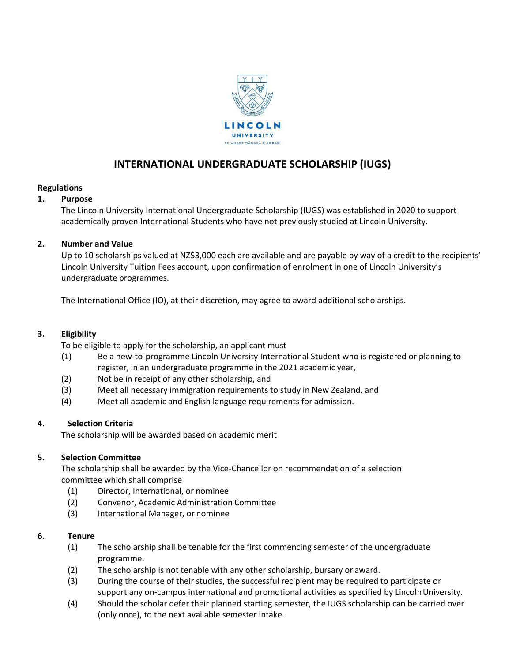

# **INTERNATIONAL UNDERGRADUATE SCHOLARSHIP (IUGS)**

# **Regulations**

# **1. Purpose**

The Lincoln University International Undergraduate Scholarship (IUGS) was established in 2020 to support academically proven International Students who have not previously studied at Lincoln University.

# **2. Number and Value**

Up to 10 scholarships valued at NZ\$3,000 each are available and are payable by way of a credit to the recipients' Lincoln University Tuition Fees account, upon confirmation of enrolment in one of Lincoln University's undergraduate programmes.

The International Office (IO), at their discretion, may agree to award additional scholarships.

# **3. Eligibility**

To be eligible to apply for the scholarship, an applicant must

- (1) Be a new-to-programme Lincoln University International Student who is registered or planning to register, in an undergraduate programme in the 2021 academic year,
- (2) Not be in receipt of any other scholarship, and
- (3) Meet all necessary immigration requirements to study in New Zealand, and
- (4) Meet all academic and English language requirements for admission.

# **4. Selection Criteria**

The scholarship will be awarded based on academic merit

# **5. Selection Committee**

The scholarship shall be awarded by the Vice-Chancellor on recommendation of a selection committee which shall comprise

- (1) Director, International, or nominee
- (2) Convenor, Academic Administration Committee
- (3) International Manager, or nominee

#### **6. Tenure**

- (1) The scholarship shall be tenable for the first commencing semester of the undergraduate programme.
- (2) The scholarship is not tenable with any other scholarship, bursary or award.
- (3) During the course of their studies, the successful recipient may be required to participate or support any on-campus international and promotional activities as specified by Lincoln University.
- (4) Should the scholar defer their planned starting semester, the IUGS scholarship can be carried over (only once), to the next available semester intake.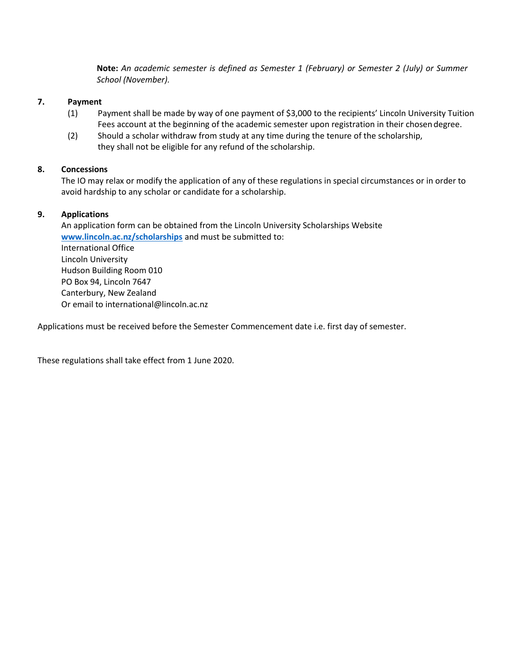**Note:** *An academic semester is defined as Semester 1 (February) or Semester 2 (July) or Summer School (November).* 

#### **7. Payment**

- (1) Payment shall be made by way of one payment of \$3,000 to the recipients' Lincoln University Tuition Fees account at the beginning of the academic semester upon registration in their chosen degree.
- (2) Should a scholar withdraw from study at any time during the tenure of the scholarship, they shall not be eligible for any refund of the scholarship.

# **8. Concessions**

The IO may relax or modify the application of any of these regulations in special circumstances or in order to avoid hardship to any scholar or candidate for a scholarship.

# **9. Applications**

An application form can be obtained from the Lincoln University Scholarships Website **[www.lincoln.ac.nz/scholarships](http://www.lincoln.ac.nz/scholarships)** and must be submitted to: International Office Lincoln University Hudson Building Room 010 PO Box 94, Lincoln 7647 Canterbury, New Zealand Or email to [international@lincoln.ac.nz](mailto:international@lincoln.ac.nz)

Applications must be received before the Semester Commencement date i.e. first day of semester.

These regulations shall take effect from 1 June 2020.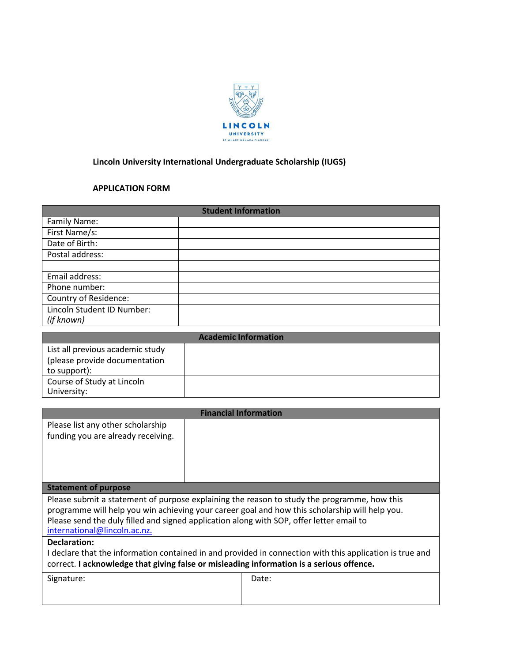

# **Lincoln University International Undergraduate Scholarship (IUGS)**

# **APPLICATION FORM**

| <b>Student Information</b> |  |  |
|----------------------------|--|--|
| Family Name:               |  |  |
| First Name/s:              |  |  |
| Date of Birth:             |  |  |
| Postal address:            |  |  |
|                            |  |  |
| Email address:             |  |  |
| Phone number:              |  |  |
| Country of Residence:      |  |  |
| Lincoln Student ID Number: |  |  |
| (if known)                 |  |  |

| <b>Academic Information</b>      |  |  |
|----------------------------------|--|--|
| List all previous academic study |  |  |
| (please provide documentation    |  |  |
| to support):                     |  |  |
| Course of Study at Lincoln       |  |  |
| University:                      |  |  |

| <b>Financial Information</b>                                                                             |       |  |  |  |
|----------------------------------------------------------------------------------------------------------|-------|--|--|--|
| Please list any other scholarship                                                                        |       |  |  |  |
| funding you are already receiving.                                                                       |       |  |  |  |
|                                                                                                          |       |  |  |  |
|                                                                                                          |       |  |  |  |
|                                                                                                          |       |  |  |  |
| <b>Statement of purpose</b>                                                                              |       |  |  |  |
| Please submit a statement of purpose explaining the reason to study the programme, how this              |       |  |  |  |
| programme will help you win achieving your career goal and how this scholarship will help you.           |       |  |  |  |
| Please send the duly filled and signed application along with SOP, offer letter email to                 |       |  |  |  |
| international@lincoln.ac.nz.                                                                             |       |  |  |  |
| Declaration:                                                                                             |       |  |  |  |
| I declare that the information contained in and provided in connection with this application is true and |       |  |  |  |
| correct. I acknowledge that giving false or misleading information is a serious offence.                 |       |  |  |  |
| Signature:                                                                                               | Date: |  |  |  |
|                                                                                                          |       |  |  |  |